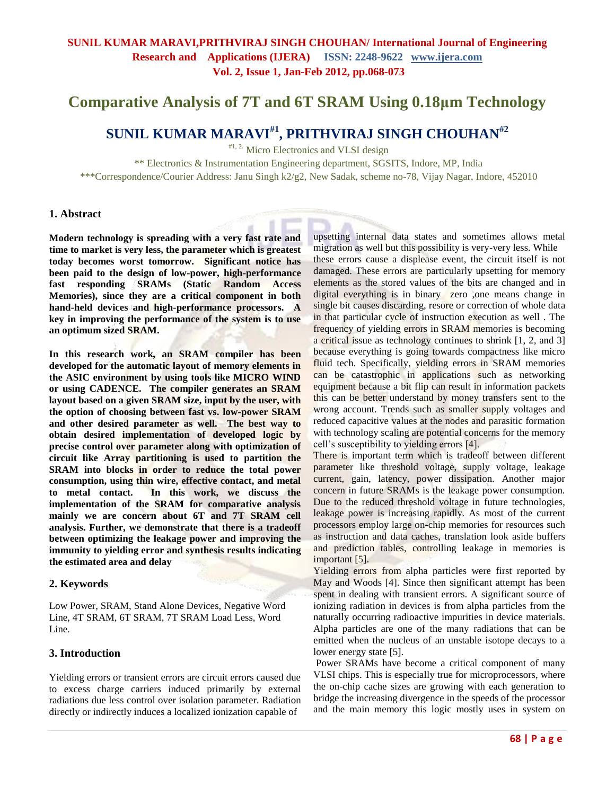# **Comparative Analysis of 7T and 6T SRAM Using 0.18μm Technology**

# **SUNIL KUMAR MARAVI#1 , PRITHVIRAJ SINGH CHOUHAN#2**

#1, 2. Micro Electronics and VLSI design

\*\* Electronics & Instrumentation Engineering department, SGSITS, Indore, MP, India \*\*\*Correspondence/Courier Address: Janu Singh k2/g2, New Sadak, scheme no-78, Vijay Nagar, Indore, 452010

### **1. Abstract**

**Modern technology is spreading with a very fast rate and time to market is very less, the parameter which is greatest today becomes worst tomorrow. Significant notice has been paid to the design of low-power, high-performance fast responding SRAMs (Static Random Access Memories), since they are a critical component in both hand-held devices and high-performance processors. A key in improving the performance of the system is to use an optimum sized SRAM.** 

**In this research work, an SRAM compiler has been developed for the automatic layout of memory elements in the ASIC environment by using tools like MICRO WIND or using CADENCE. The compiler generates an SRAM layout based on a given SRAM size, input by the user, with the option of choosing between fast vs. low-power SRAM and other desired parameter as well. The best way to obtain desired implementation of developed logic by precise control over parameter along with optimization of circuit like Array partitioning is used to partition the SRAM into blocks in order to reduce the total power consumption, using thin wire, effective contact, and metal to metal contact. In this work, we discuss the implementation of the SRAM for comparative analysis mainly we are concern about 6T and 7T SRAM cell analysis. Further, we demonstrate that there is a tradeoff between optimizing the leakage power and improving the immunity to yielding error and synthesis results indicating the estimated area and delay**

### **2. Keywords**

Low Power, SRAM, Stand Alone Devices, Negative Word Line, 4T SRAM, 6T SRAM, 7T SRAM Load Less, Word Line.

### **3. Introduction**

Yielding errors or transient errors are circuit errors caused due to excess charge carriers induced primarily by external radiations due less control over isolation parameter. Radiation directly or indirectly induces a localized ionization capable of

upsetting internal data states and sometimes allows metal migration as well but this possibility is very-very less. While these errors cause a displease event, the circuit itself is not damaged. These errors are particularly upsetting for memory elements as the stored values of the bits are changed and in digital everything is in binary zero ,one means change in single bit causes discarding, resore or correction of whole data in that particular cycle of instruction execution as well . The frequency of yielding errors in SRAM memories is becoming a critical issue as technology continues to shrink [1, 2, and 3] because everything is going towards compactness like micro fluid tech. Specifically, yielding errors in SRAM memories can be catastrophic in applications such as networking equipment because a bit flip can result in information packets this can be better understand by money transfers sent to the wrong account. Trends such as smaller supply voltages and reduced capacitive values at the nodes and parasitic formation with technology scaling are potential concerns for the memory cell"s susceptibility to yielding errors [4].

There is important term which is tradeoff between different parameter like threshold voltage, supply voltage, leakage current, gain, latency, power dissipation. Another major concern in future SRAMs is the leakage power consumption. Due to the reduced threshold voltage in future technologies, leakage power is increasing rapidly. As most of the current processors employ large on-chip memories for resources such as instruction and data caches, translation look aside buffers and prediction tables, controlling leakage in memories is important [5].

Yielding errors from alpha particles were first reported by May and Woods [4]. Since then significant attempt has been spent in dealing with transient errors. A significant source of ionizing radiation in devices is from alpha particles from the naturally occurring radioactive impurities in device materials. Alpha particles are one of the many radiations that can be emitted when the nucleus of an unstable isotope decays to a lower energy state [5].

Power SRAMs have become a critical component of many VLSI chips. This is especially true for microprocessors, where the on-chip cache sizes are growing with each generation to bridge the increasing divergence in the speeds of the processor and the main memory this logic mostly uses in system on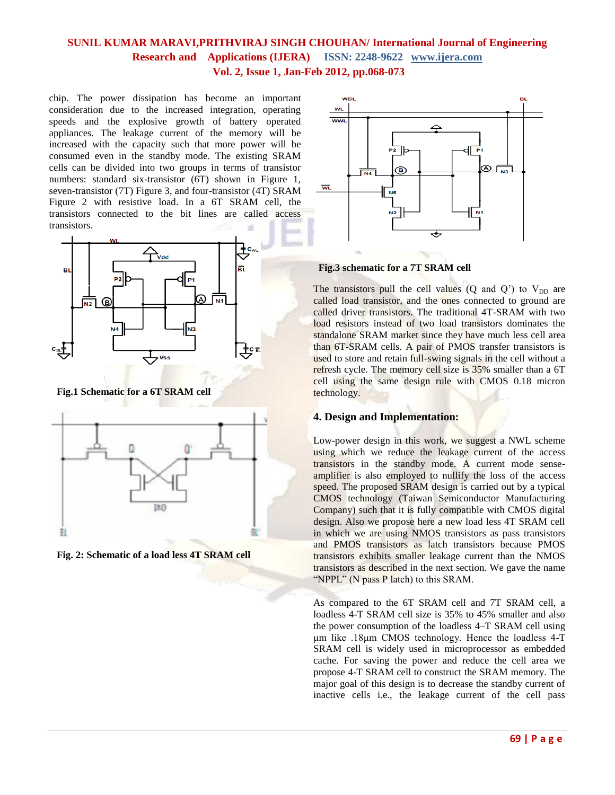chip. The power dissipation has become an important consideration due to the increased integration, operating speeds and the explosive growth of battery operated appliances. The leakage current of the memory will be increased with the capacity such that more power will be consumed even in the standby mode. The existing SRAM cells can be divided into two groups in terms of transistor numbers: standard six-transistor (6T) shown in Figure 1, seven-transistor (7T) Figure 3, and four-transistor (4T) SRAM Figure 2 with resistive load. In a 6T SRAM cell, the transistors connected to the bit lines are called access transistors.



 **Fig.1 Schematic for a 6T SRAM cell**



 **Fig. 2: Schematic of a load less 4T SRAM cell**



 **Fig.3 schematic for a 7T SRAM cell**

The transistors pull the cell values (Q and  $Q'$ ) to  $V_{DD}$  are called load transistor, and the ones connected to ground are called driver transistors. The traditional 4T-SRAM with two load resistors instead of two load transistors dominates the standalone SRAM market since they have much less cell area than 6T-SRAM cells. A pair of PMOS transfer transistors is used to store and retain full-swing signals in the cell without a refresh cycle. The memory cell size is 35% smaller than a 6T cell using the same design rule with CMOS 0.18 micron technology.

### **4. Design and Implementation:**

Low-power design in this work, we suggest a NWL scheme using which we reduce the leakage current of the access transistors in the standby mode. A current mode senseamplifier is also employed to nullify the loss of the access speed. The proposed SRAM design is carried out by a typical CMOS technology (Taiwan Semiconductor Manufacturing Company) such that it is fully compatible with CMOS digital design. Also we propose here a new load less 4T SRAM cell in which we are using NMOS transistors as pass transistors and PMOS transistors as latch transistors because PMOS transistors exhibits smaller leakage current than the NMOS transistors as described in the next section. We gave the name "NPPL" (N pass P latch) to this SRAM.

As compared to the 6T SRAM cell and 7T SRAM cell, a loadless 4-T SRAM cell size is 35% to 45% smaller and also the power consumption of the loadless 4–T SRAM cell using μm like .18μm CMOS technology. Hence the loadless 4-T SRAM cell is widely used in microprocessor as embedded cache. For saving the power and reduce the cell area we propose 4-T SRAM cell to construct the SRAM memory. The major goal of this design is to decrease the standby current of inactive cells i.e., the leakage current of the cell pass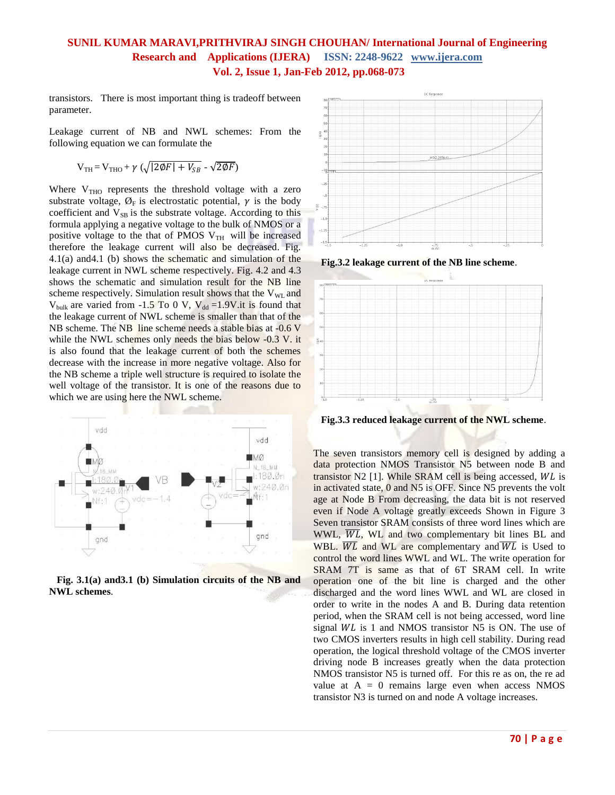transistors. There is most important thing is tradeoff between parameter.

Leakage current of NB and NWL schemes: From the following equation we can formulate the

$$
V_{TH} = V_{THO} + \gamma \left( \sqrt{|2\phi F| + V_{SB}} - \sqrt{2\phi F} \right)
$$

Where  $V<sub>THO</sub>$  represents the threshold voltage with a zero substrate voltage,  $\varnothing_F$  is electrostatic potential,  $\gamma$  is the body coefficient and  $V_{SB}$  is the substrate voltage. According to this formula applying a negative voltage to the bulk of NMOS or a positive voltage to the that of PMOS  $V_{TH}$  will be increased therefore the leakage current will also be decreased. Fig.  $4.1(a)$  and  $4.1(b)$  shows the schematic and simulation of the leakage current in NWL scheme respectively. Fig. 4.2 and 4.3 shows the schematic and simulation result for the NB line scheme respectively. Simulation result shows that the  $V_{WL}$  and  $V_{bulk}$  are varied from -1.5 To 0 V,  $V_{dd}$  =1.9V.it is found that the leakage current of NWL scheme is smaller than that of the NB scheme. The NB line scheme needs a stable bias at -0.6 V while the NWL schemes only needs the bias below -0.3 V. it is also found that the leakage current of both the schemes decrease with the increase in more negative voltage. Also for the NB scheme a triple well structure is required to isolate the well voltage of the transistor. It is one of the reasons due to which we are using here the NWL scheme.



 **Fig. 3.1(a) and3.1 (b) Simulation circuits of the NB and NWL schemes**.



 **Fig.3.2 leakage current of the NB line scheme**.



 **Fig.3.3 reduced leakage current of the NWL scheme**.

The seven transistors memory cell is designed by adding a data protection NMOS Transistor N5 between node B and transistor  $N2$  [1]. While SRAM cell is being accessed,  $WL$  is in activated state, 0 and N5 is OFF. Since N5 prevents the volt age at Node B From decreasing, the data bit is not reserved even if Node A voltage greatly exceeds Shown in Figure 3 Seven transistor SRAM consists of three word lines which are WWL,  $\overline{WL}$ , WL and two complementary bit lines BL and WBL.  $\overline{WL}$  and WL are complementary and  $\overline{WL}$  is Used to control the word lines WWL and WL. The write operation for SRAM 7T is same as that of 6T SRAM cell. In write operation one of the bit line is charged and the other discharged and the word lines WWL and WL are closed in order to write in the nodes A and B. During data retention period, when the SRAM cell is not being accessed, word line signal  $WL$  is 1 and NMOS transistor N5 is ON. The use of two CMOS inverters results in high cell stability. During read operation, the logical threshold voltage of the CMOS inverter driving node B increases greatly when the data protection NMOS transistor N5 is turned off. For this re as on, the re ad value at  $A = 0$  remains large even when access NMOS transistor N3 is turned on and node A voltage increases.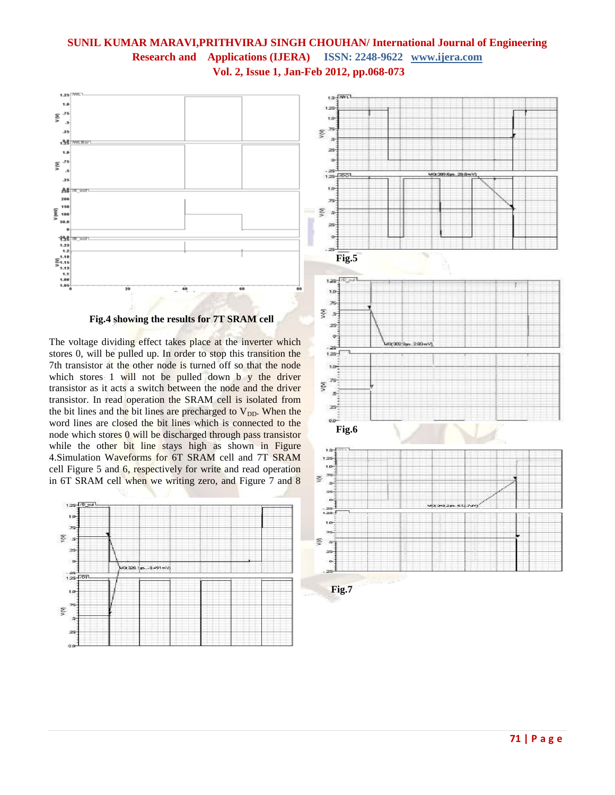

 **Fig.4 showing the results for 7T SRAM cell**

The voltage dividing effect takes place at the inverter which stores 0, will be pulled up. In order to stop this transition the 7th transistor at the other node is turned off so that the node which stores 1 will not be pulled down b y the driver transistor as it acts a switch between the node and the driver transistor. In read operation the SRAM cell is isolated from the bit lines and the bit lines are precharged to  $V_{DD}$ . When the word lines are closed the bit lines which is connected to the node which stores 0 will be discharged through pass transistor while the other bit line stays high as shown in Figure 4.Simulation Waveforms for 6T SRAM cell and 7T SRAM cell Figure 5 and 6, respectively for write and read operation in 6T SRAM cell when we writing zero, and Figure 7 and 8



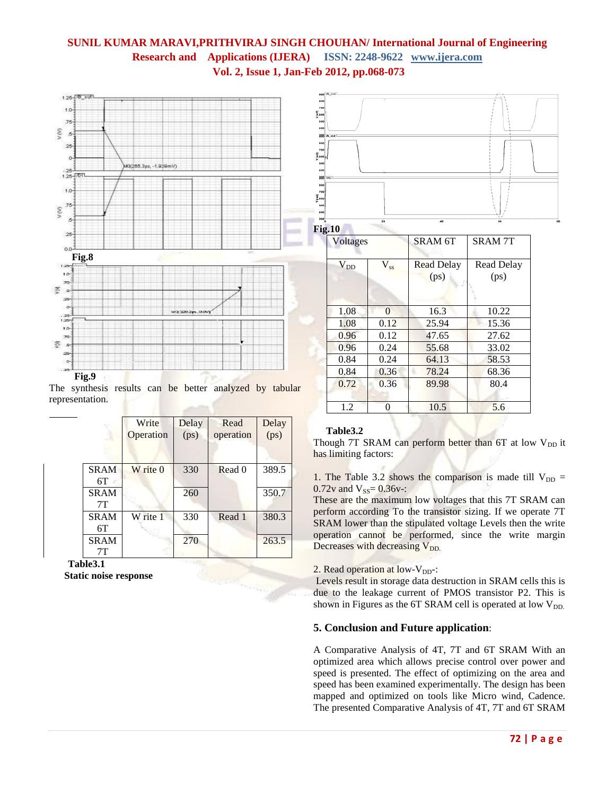

The synthesis results can be better analyzed by tabular representation.

|                   | Write<br>Operation | Delay<br>(ps) | Read<br>operation | Delay<br>(ps) |
|-------------------|--------------------|---------------|-------------------|---------------|
| <b>SRAM</b><br>6T | W rite 0           | 330           | Read 0            | 389.5         |
| <b>SRAM</b><br>7T |                    | 260           |                   | 350.7         |
| <b>SRAM</b><br>6T | W rite 1           | 330           | Read 1            | 380.3         |
| <b>SRAM</b><br>7Τ |                    | 270           |                   | 263.5         |

**Table3.1 Static noise response**



| <b>Voltages</b> |          | SRAM <sub>6T</sub>        | <b>SRAM7T</b>      |  |
|-----------------|----------|---------------------------|--------------------|--|
| $V_{DD}$        | $V_{ss}$ | <b>Read Delay</b><br>(ps) | Read Delay<br>(ps) |  |
| 1.08            | $\Omega$ | 16.3                      | 10.22              |  |
| 1.08            | 0.12     | 25.94                     | 15.36              |  |
| 0.96            | 0.12     | 47.65                     | 27.62              |  |
| 0.96            | 0.24     | 55.68                     | 33.02              |  |
| 0.84            | 0.24     | 64.13                     | 58.53              |  |
| 0.84            | 0.36     | 78.24                     | 68.36              |  |
| 0.72            | 0.36     | 89.98                     | 80.4               |  |
| 1.2             | 0        | 10.5                      | 5.6                |  |

### **Table3.2**

Though 7T SRAM can perform better than 6T at low  $V_{DD}$  it has limiting factors:

1. The Table 3.2 shows the comparison is made till  $V_{DD}$  = 0.72v and  $V_{SS} = 0.36v -$ :

These are the maximum low voltages that this 7T SRAM can perform according To the transistor sizing. If we operate 7T SRAM lower than the stipulated voltage Levels then the write operation cannot be performed, since the write margin Decreases with decreasing V<sub>DD.</sub>

#### 2. Read operation at low- $V_{DD}$ :

Levels result in storage data destruction in SRAM cells this is due to the leakage current of PMOS transistor P2. This is shown in Figures as the 6T SRAM cell is operated at low  $V_{DD}$ 

#### **5. Conclusion and Future application**:

A Comparative Analysis of 4T, 7T and 6T SRAM With an optimized area which allows precise control over power and speed is presented. The effect of optimizing on the area and speed has been examined experimentally. The design has been mapped and optimized on tools like Micro wind, Cadence. The presented Comparative Analysis of 4T, 7T and 6T SRAM